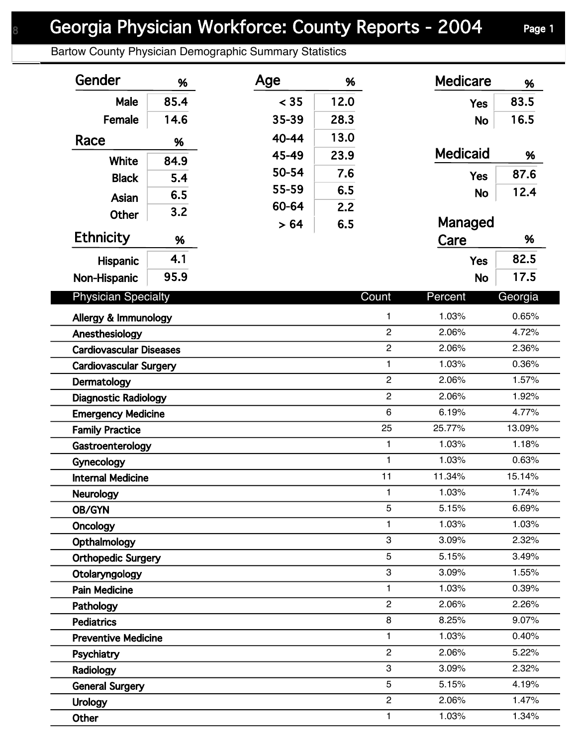## Georgia Physician Workforce: County Reports - 2004 Page 1

Bartow County Physician Demographic Summary Statistics

| Gender                                 | %    | Age   | %    |                                  | <b>Medicare</b> | %              |
|----------------------------------------|------|-------|------|----------------------------------|-----------------|----------------|
| Male                                   | 85.4 | < 35  | 12.0 |                                  | <b>Yes</b>      | 83.5           |
| Female                                 | 14.6 | 35-39 | 28.3 |                                  | <b>No</b>       | 16.5           |
| Race                                   | %    | 40-44 | 13.0 |                                  |                 |                |
| <b>White</b>                           | 84.9 | 45-49 | 23.9 |                                  | <b>Medicaid</b> | %              |
| <b>Black</b>                           |      | 50-54 | 7.6  |                                  | <b>Yes</b>      | 87.6           |
|                                        | 5.4  | 55-59 | 6.5  |                                  | <b>No</b>       | 12.4           |
| Asian                                  | 6.5  | 60-64 | 2.2  |                                  |                 |                |
| <b>Other</b>                           | 3.2  | > 64  | 6.5  |                                  | Managed         |                |
| <b>Ethnicity</b>                       | %    |       |      |                                  | Care            | %              |
| Hispanic                               | 4.1  |       |      |                                  | <b>Yes</b>      | 82.5           |
| Non-Hispanic                           | 95.9 |       |      |                                  | <b>No</b>       | 17.5           |
|                                        |      |       |      | Count                            |                 |                |
| <b>Physician Specialty</b>             |      |       |      |                                  | Percent         | Georgia        |
| Allergy & Immunology                   |      |       |      | $\mathbf{1}$                     | 1.03%           | 0.65%          |
| Anesthesiology                         |      |       |      | $\overline{c}$                   | 2.06%           | 4.72%          |
| <b>Cardiovascular Diseases</b>         |      |       |      | $\overline{c}$                   | 2.06%           | 2.36%          |
| <b>Cardiovascular Surgery</b>          |      |       |      | $\mathbf{1}$                     | 1.03%           | 0.36%          |
| Dermatology                            |      |       |      | $\overline{c}$<br>$\overline{c}$ | 2.06%           | 1.57%          |
| <b>Diagnostic Radiology</b>            |      |       |      | 6                                | 2.06%<br>6.19%  | 1.92%<br>4.77% |
| <b>Emergency Medicine</b>              |      |       |      | 25                               | 25.77%          | 13.09%         |
| <b>Family Practice</b>                 |      |       |      | $\mathbf{1}$                     | 1.03%           | 1.18%          |
| Gastroenterology                       |      |       |      | $\mathbf{1}$                     | 1.03%           | 0.63%          |
| Gynecology<br><b>Internal Medicine</b> |      |       |      | 11                               | 11.34%          | 15.14%         |
| Neurology                              |      |       |      | 1                                | 1.03%           | 1.74%          |
| OB/GYN                                 |      |       |      | 5                                | 5.15%           | 6.69%          |
| Oncology                               |      |       |      | 1                                | 1.03%           | 1.03%          |
| Opthalmology                           |      |       |      | 3                                | 3.09%           | 2.32%          |
| <b>Orthopedic Surgery</b>              |      |       |      | 5                                | 5.15%           | 3.49%          |
| Otolaryngology                         |      |       |      | 3                                | 3.09%           | 1.55%          |
| <b>Pain Medicine</b>                   |      |       |      | $\mathbf{1}$                     | 1.03%           | 0.39%          |
| Pathology                              |      |       |      | $\overline{2}$                   | 2.06%           | 2.26%          |
| <b>Pediatrics</b>                      |      |       |      | 8                                | 8.25%           | 9.07%          |
| <b>Preventive Medicine</b>             |      |       |      | 1                                | 1.03%           | 0.40%          |
| Psychiatry                             |      |       |      | $\overline{c}$                   | 2.06%           | 5.22%          |
| Radiology                              |      |       |      | 3                                | 3.09%           | 2.32%          |
| <b>General Surgery</b>                 |      |       |      | 5                                | 5.15%           | 4.19%          |
| <b>Urology</b>                         |      |       |      | $\overline{c}$                   | 2.06%           | 1.47%          |
| Other                                  |      |       |      | 1                                | 1.03%           | 1.34%          |